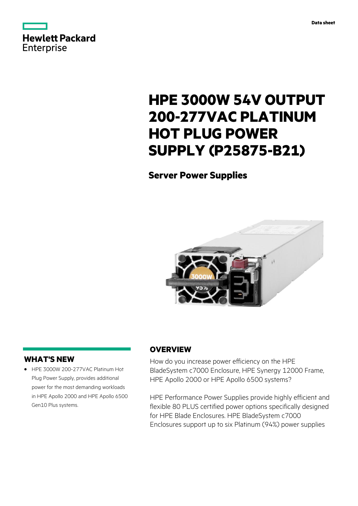

# **HPE 3000W 54V OUTPUT 200-277VAC PLATINUM HOT PLUG POWER SUPPLY (P25875-B21)**

# **Server Power Supplies**



# **WHAT'S NEW**

**·** HPE 3000W 200-277VAC Platinum Hot Plug Power Supply, provides additional power for the most demanding workloads in HPE Apollo 2000 and HPE Apollo 6500 Gen10 Plus systems.

# **OVERVIEW**

How do you increase power efficiency on the HPE BladeSystem c7000 Enclosure, HPE Synergy 12000 Frame, HPE Apollo 2000 or HPE Apollo 6500 systems?

HPE Performance Power Supplies provide highly efficient and flexible 80 PLUS certified power options specifically designed for HPE Blade Enclosures. HPE BladeSystem c7000 Enclosures support up to six Platinum (94%) power supplies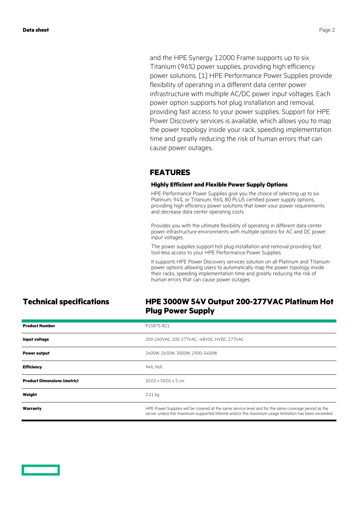and the HPE Synergy 12000 Frame supports up to six Titanium (96%) power supplies, providing high efficiency power solutions. [1] HPE Performance Power Supplies provide flexibility of operating in a different data center power infrastructure with multiple AC/DC power input voltages. Each power option supports hot plug installation and removal, providing fast access to your power supplies. Support for HPE Power Discovery services is available, which allows you to map the power topology inside your rack, speeding implementation time and greatly reducing the risk of human errors that can cause power outages.

### **FEATURES**

### **Highly Efficient and Flexible Power Supply Options**

HPE Performance Power Supplies give you the choice of selecting up to six Platinum, 94%, or Titanium, 96%, 80 PLUS certified power supply options, providing high efficiency power solutions that lower your power requirements and decrease data center operating costs.

Provides you with the ultimate flexibility of operating in different data center power infrastructure environments with multiple options for AC and DC power input voltages.

The power supplies support hot plug installation and removal providing fast, tool-less access to your HPE Performance Power Supplies.

It supports HPE Power Discovery services solution on all Platinum and Titanium power options allowing users to automatically map the power topology inside their racks, speeding implementation time and greatly reducing the risk of human errors that can cause power outages.

### **Technical specifications HPE 3000W 54V Output 200-277VAC Platinum Hot Plug Power Supply**

| <b>Product Number</b>              | P25875-B21                                                                                                                                                                                                  |
|------------------------------------|-------------------------------------------------------------------------------------------------------------------------------------------------------------------------------------------------------------|
| Input voltage                      | 200-240VAC, 200-277VAC, -48VDC, HVDC, 277VAC                                                                                                                                                                |
| <b>Power output</b>                | 2400W, 2650W, 3000W, 2900-3400W                                                                                                                                                                             |
| <b>Efficiency</b>                  | 94%, 96%                                                                                                                                                                                                    |
| <b>Product Dimensions (metric)</b> | $10.01 \times 50.01 \times 5$ cm                                                                                                                                                                            |
| Weight                             | $2.21$ kg                                                                                                                                                                                                   |
| Warranty                           | HPE Power Supplies will be covered at the same service level and for the same coverage period as the<br>server unless the maximum supported lifetime and/or the maximum usage limitation has been exceeded. |